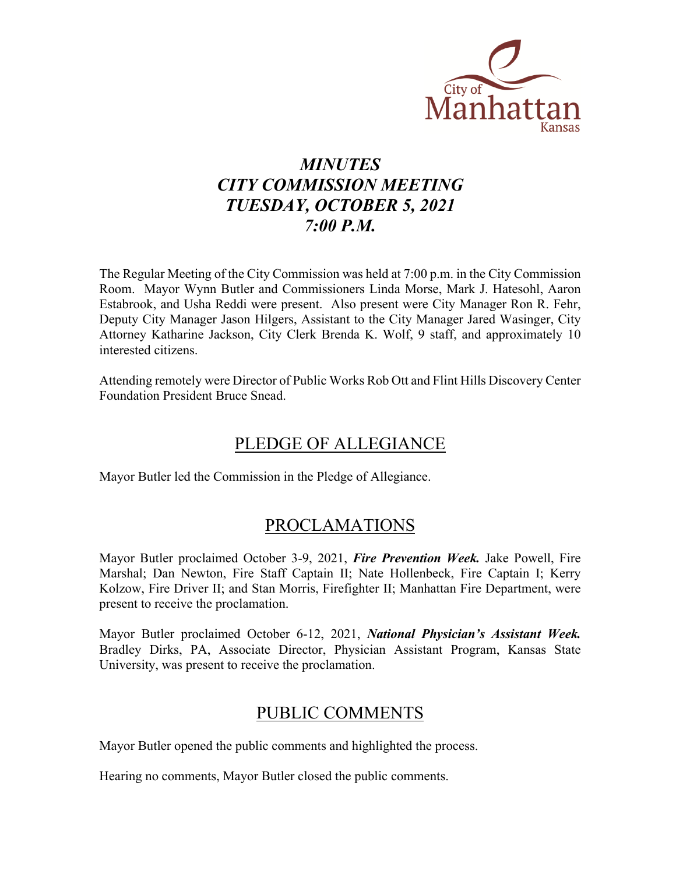

# *MINUTES CITY COMMISSION MEETING TUESDAY, OCTOBER 5, 2021 7:00 P.M.*

The Regular Meeting of the City Commission was held at 7:00 p.m. in the City Commission Room. Mayor Wynn Butler and Commissioners Linda Morse, Mark J. Hatesohl, Aaron Estabrook, and Usha Reddi were present. Also present were City Manager Ron R. Fehr, Deputy City Manager Jason Hilgers, Assistant to the City Manager Jared Wasinger, City Attorney Katharine Jackson, City Clerk Brenda K. Wolf, 9 staff, and approximately 10 interested citizens.

Attending remotely were Director of Public Works Rob Ott and Flint Hills Discovery Center Foundation President Bruce Snead.

# PLEDGE OF ALLEGIANCE

Mayor Butler led the Commission in the Pledge of Allegiance.

### PROCLAMATIONS

Mayor Butler proclaimed October 3-9, 2021, *Fire Prevention Week.* Jake Powell, Fire Marshal; Dan Newton, Fire Staff Captain II; Nate Hollenbeck, Fire Captain I; Kerry Kolzow, Fire Driver II; and Stan Morris, Firefighter II; Manhattan Fire Department, were present to receive the proclamation.

Mayor Butler proclaimed October 6-12, 2021, *National Physician's Assistant Week.* Bradley Dirks, PA, Associate Director, Physician Assistant Program, Kansas State University, was present to receive the proclamation.

## PUBLIC COMMENTS

Mayor Butler opened the public comments and highlighted the process.

Hearing no comments, Mayor Butler closed the public comments.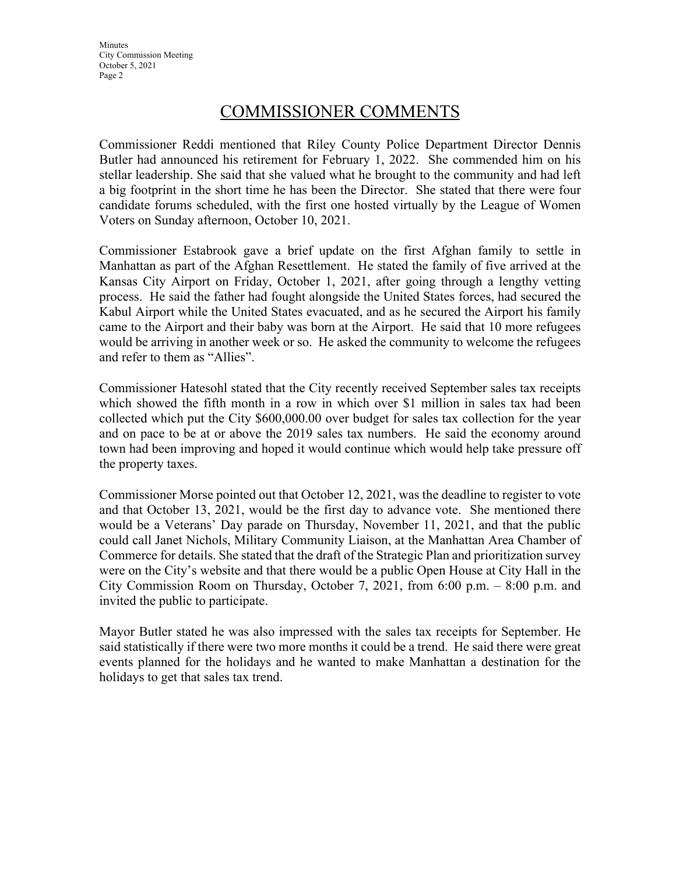**Minutes** City Commission Meeting October 5, 2021 Page 2

### COMMISSIONER COMMENTS

Commissioner Reddi mentioned that Riley County Police Department Director Dennis Butler had announced his retirement for February 1, 2022. She commended him on his stellar leadership. She said that she valued what he brought to the community and had left a big footprint in the short time he has been the Director. She stated that there were four candidate forums scheduled, with the first one hosted virtually by the League of Women Voters on Sunday afternoon, October 10, 2021.

Commissioner Estabrook gave a brief update on the first Afghan family to settle in Manhattan as part of the Afghan Resettlement. He stated the family of five arrived at the Kansas City Airport on Friday, October 1, 2021, after going through a lengthy vetting process. He said the father had fought alongside the United States forces, had secured the Kabul Airport while the United States evacuated, and as he secured the Airport his family came to the Airport and their baby was born at the Airport. He said that 10 more refugees would be arriving in another week or so. He asked the community to welcome the refugees and refer to them as "Allies".

Commissioner Hatesohl stated that the City recently received September sales tax receipts which showed the fifth month in a row in which over \$1 million in sales tax had been collected which put the City \$600,000.00 over budget for sales tax collection for the year and on pace to be at or above the 2019 sales tax numbers. He said the economy around town had been improving and hoped it would continue which would help take pressure off the property taxes.

Commissioner Morse pointed out that October 12, 2021, was the deadline to register to vote and that October 13, 2021, would be the first day to advance vote. She mentioned there would be a Veterans' Day parade on Thursday, November 11, 2021, and that the public could call Janet Nichols, Military Community Liaison, at the Manhattan Area Chamber of Commerce for details. She stated that the draft of the Strategic Plan and prioritization survey were on the City's website and that there would be a public Open House at City Hall in the City Commission Room on Thursday, October 7, 2021, from 6:00 p.m. – 8:00 p.m. and invited the public to participate.

Mayor Butler stated he was also impressed with the sales tax receipts for September. He said statistically if there were two more months it could be a trend. He said there were great events planned for the holidays and he wanted to make Manhattan a destination for the holidays to get that sales tax trend.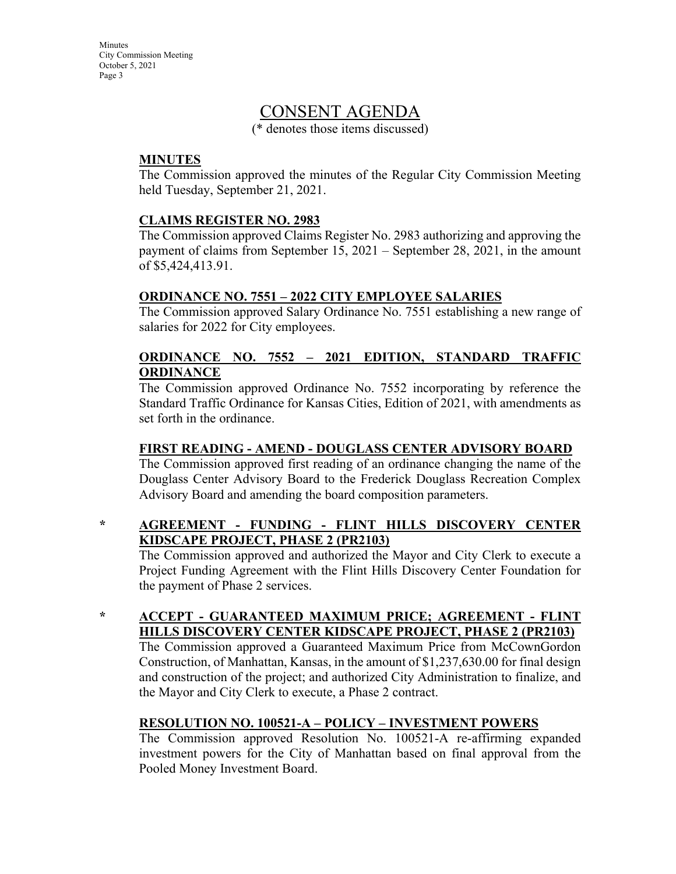**Minutes** City Commission Meeting October 5, 2021 Page 3

### CONSENT AGENDA

(\* denotes those items discussed)

#### **MINUTES**

The Commission approved the minutes of the Regular City Commission Meeting held Tuesday, September 21, 2021.

#### **CLAIMS REGISTER NO. 2983**

The Commission approved Claims Register No. 2983 authorizing and approving the payment of claims from September 15, 2021 – September 28, 2021, in the amount of \$5,424,413.91.

#### **ORDINANCE NO. 7551 – 2022 CITY EMPLOYEE SALARIES**

The Commission approved Salary Ordinance No. 7551 establishing a new range of salaries for 2022 for City employees.

#### **ORDINANCE NO. 7552 – 2021 EDITION, STANDARD TRAFFIC ORDINANCE**

The Commission approved Ordinance No. 7552 incorporating by reference the Standard Traffic Ordinance for Kansas Cities, Edition of 2021, with amendments as set forth in the ordinance.

#### **FIRST READING - AMEND - DOUGLASS CENTER ADVISORY BOARD**

The Commission approved first reading of an ordinance changing the name of the Douglass Center Advisory Board to the Frederick Douglass Recreation Complex Advisory Board and amending the board composition parameters.

#### **\* AGREEMENT - FUNDING - FLINT HILLS DISCOVERY CENTER KIDSCAPE PROJECT, PHASE 2 (PR2103)**

The Commission approved and authorized the Mayor and City Clerk to execute a Project Funding Agreement with the Flint Hills Discovery Center Foundation for the payment of Phase 2 services.

#### **\* ACCEPT - GUARANTEED MAXIMUM PRICE; AGREEMENT - FLINT HILLS DISCOVERY CENTER KIDSCAPE PROJECT, PHASE 2 (PR2103)**

The Commission approved a Guaranteed Maximum Price from McCownGordon Construction, of Manhattan, Kansas, in the amount of \$1,237,630.00 for final design and construction of the project; and authorized City Administration to finalize, and the Mayor and City Clerk to execute, a Phase 2 contract.

#### **RESOLUTION NO. 100521-A – POLICY – INVESTMENT POWERS**

The Commission approved Resolution No. 100521-A re-affirming expanded investment powers for the City of Manhattan based on final approval from the Pooled Money Investment Board.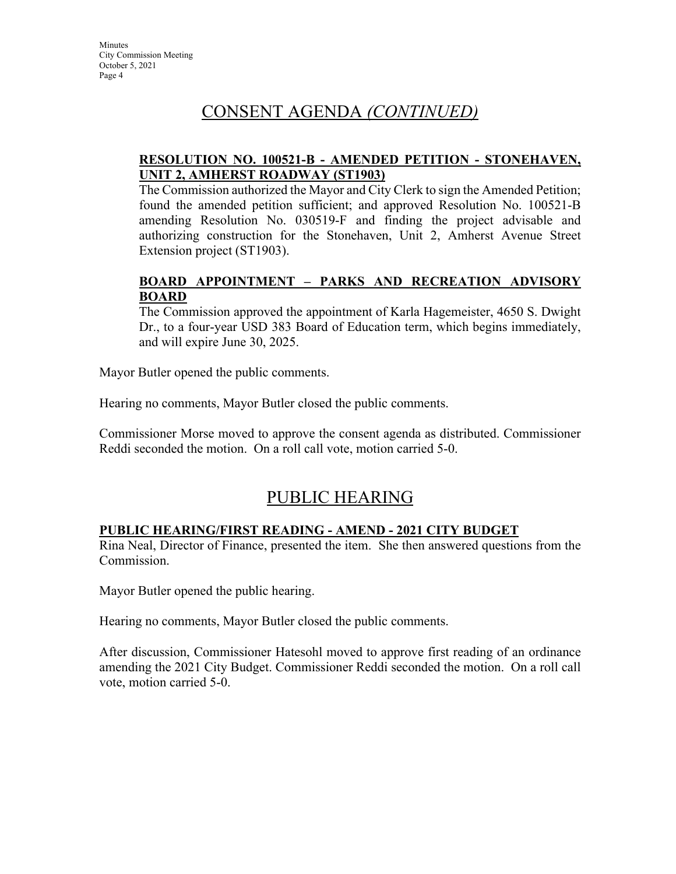## CONSENT AGENDA *(CONTINUED)*

#### **RESOLUTION NO. 100521-B - AMENDED PETITION - STONEHAVEN, UNIT 2, AMHERST ROADWAY (ST1903)**

The Commission authorized the Mayor and City Clerk to sign the Amended Petition; found the amended petition sufficient; and approved Resolution No. 100521-B amending Resolution No. 030519-F and finding the project advisable and authorizing construction for the Stonehaven, Unit 2, Amherst Avenue Street Extension project (ST1903).

#### **BOARD APPOINTMENT – PARKS AND RECREATION ADVISORY BOARD**

The Commission approved the appointment of Karla Hagemeister, 4650 S. Dwight Dr., to a four-year USD 383 Board of Education term, which begins immediately, and will expire June 30, 2025.

Mayor Butler opened the public comments.

Hearing no comments, Mayor Butler closed the public comments.

Commissioner Morse moved to approve the consent agenda as distributed. Commissioner Reddi seconded the motion. On a roll call vote, motion carried 5-0.

## PUBLIC HEARING

#### **PUBLIC HEARING/FIRST READING - AMEND - 2021 CITY BUDGET**

Rina Neal, Director of Finance, presented the item. She then answered questions from the Commission.

Mayor Butler opened the public hearing.

Hearing no comments, Mayor Butler closed the public comments.

After discussion, Commissioner Hatesohl moved to approve first reading of an ordinance amending the 2021 City Budget. Commissioner Reddi seconded the motion. On a roll call vote, motion carried 5-0.